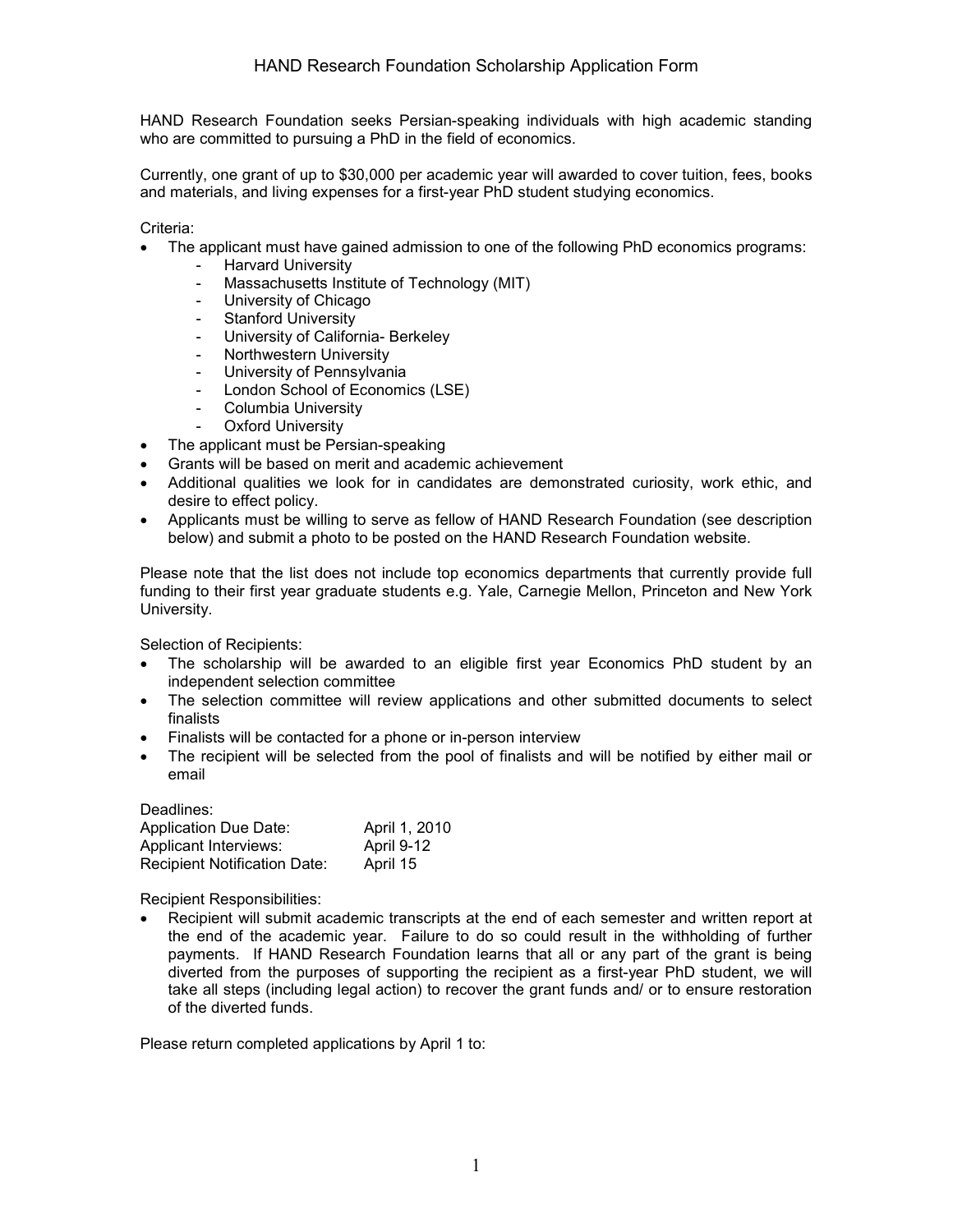HAND Research Foundation seeks Persian-speaking individuals with high academic standing who are committed to pursuing a PhD in the field of economics.

Currently, one grant of up to \$30,000 per academic year will awarded to cover tuition, fees, books and materials, and living expenses for a first-year PhD student studying economics.

#### Criteria:

- The applicant must have gained admission to one of the following PhD economics programs:
	- Harvard University
	- Massachusetts Institute of Technology (MIT)
	- University of Chicago
	- Stanford University
	- University of California- Berkeley
	- Northwestern University
	- University of Pennsylvania
	- London School of Economics (LSE)
	- Columbia University
	- Oxford University
- The applicant must be Persian-speaking
- Grants will be based on merit and academic achievement
- Additional qualities we look for in candidates are demonstrated curiosity, work ethic, and desire to effect policy.
- Applicants must be willing to serve as fellow of HAND Research Foundation (see description below) and submit a photo to be posted on the HAND Research Foundation website.

Please note that the list does not include top economics departments that currently provide full funding to their first year graduate students e.g. Yale, Carnegie Mellon, Princeton and New York University.

Selection of Recipients:

- The scholarship will be awarded to an eligible first year Economics PhD student by an independent selection committee
- The selection committee will review applications and other submitted documents to select finalists
- Finalists will be contacted for a phone or in-person interview
- The recipient will be selected from the pool of finalists and will be notified by either mail or email

| Deadlines:                          |               |
|-------------------------------------|---------------|
| <b>Application Due Date:</b>        | April 1, 2010 |
| <b>Applicant Interviews:</b>        | April 9-12    |
| <b>Recipient Notification Date:</b> | April 15      |

Recipient Responsibilities:

• Recipient will submit academic transcripts at the end of each semester and written report at the end of the academic year. Failure to do so could result in the withholding of further payments. If HAND Research Foundation learns that all or any part of the grant is being diverted from the purposes of supporting the recipient as a first-year PhD student, we will take all steps (including legal action) to recover the grant funds and/ or to ensure restoration of the diverted funds.

Please return completed applications by April 1 to: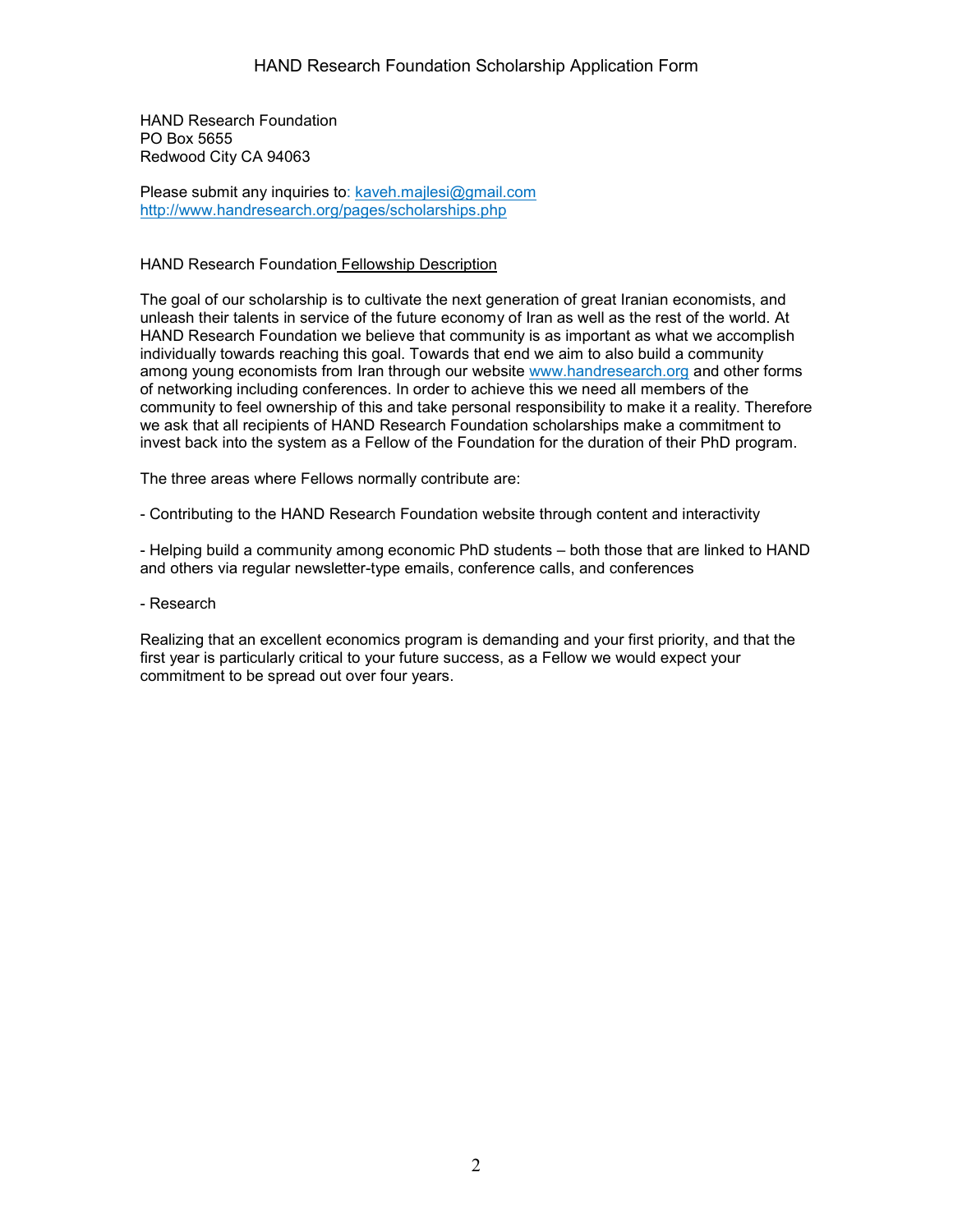HAND Research Foundation PO Box 5655 Redwood City CA 94063

Please submit any inquiries to: kaveh.mailesi@gmail.com <http://www.handresearch.org/pages/scholarships.php>

### HAND Research Foundation Fellowship Description

The goal of our scholarship is to cultivate the next generation of great Iranian economists, and unleash their talents in service of the future economy of Iran as well as the rest of the world. At HAND Research Foundation we believe that community is as important as what we accomplish individually towards reaching this goal. Towards that end we aim to also build a community among young economists from Iran through our website www[.handresearch.org](http://handresearch.org/) and other forms of networking including conferences. In order to achieve this we need all members of the community to feel ownership of this and take personal responsibility to make it a reality. Therefore we ask that all recipients of HAND Research Foundation scholarships make a commitment to invest back into the system as a Fellow of the Foundation for the duration of their PhD program.

The three areas where Fellows normally contribute are:

- Contributing to the HAND Research Foundation website through content and interactivity

- Helping build a community among economic PhD students – both those that are linked to HAND and others via regular newsletter-type emails, conference calls, and conferences

- Research

Realizing that an excellent economics program is demanding and your first priority, and that the first year is particularly critical to your future success, as a Fellow we would expect your commitment to be spread out over four years.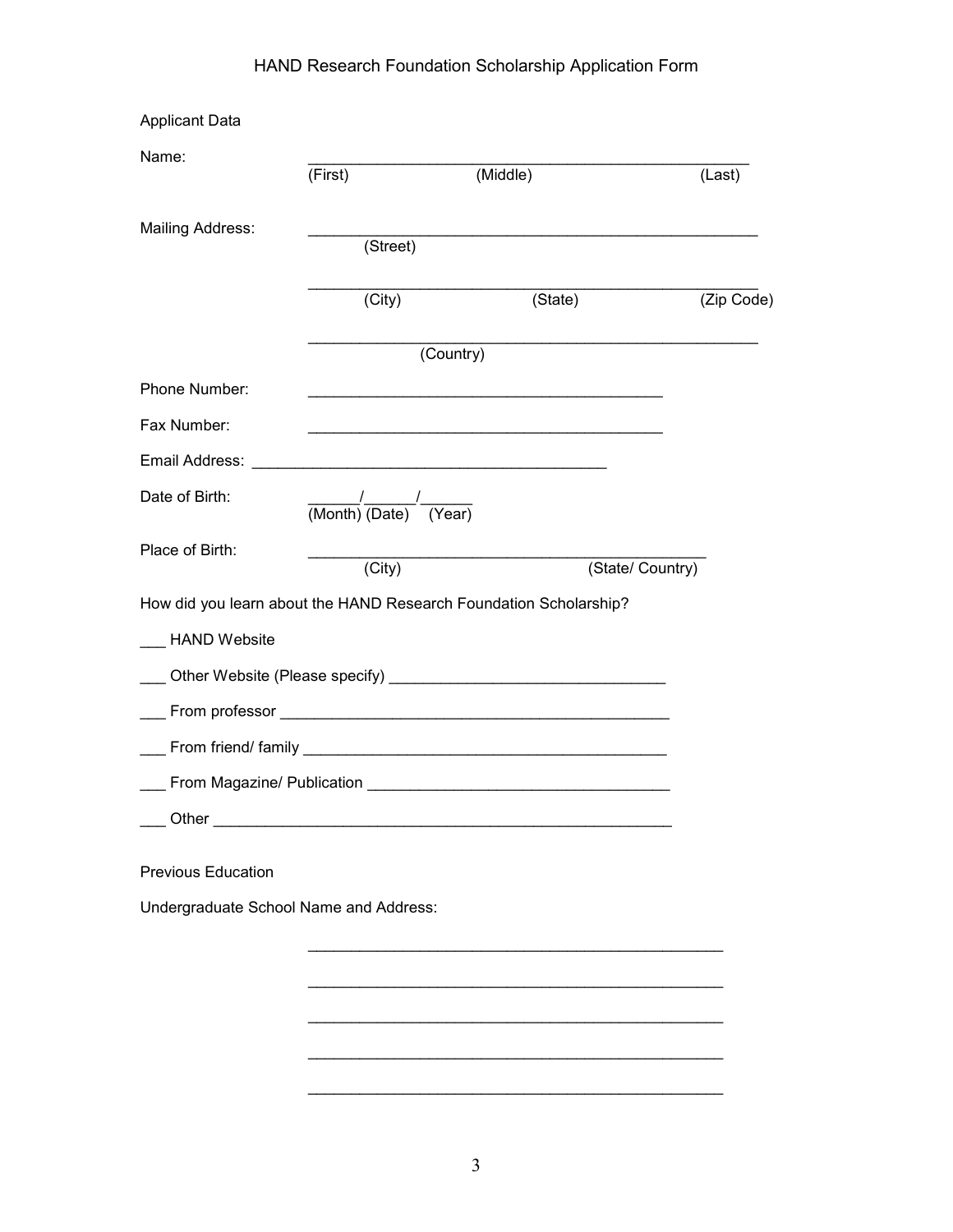| <b>Applicant Data</b>                  |                                             |                                                                     |                  |
|----------------------------------------|---------------------------------------------|---------------------------------------------------------------------|------------------|
| Name:                                  | (First)                                     | (Middle)                                                            | (Last)           |
| <b>Mailing Address:</b>                |                                             |                                                                     |                  |
|                                        | (Street)                                    |                                                                     |                  |
|                                        | (City)                                      | (State)                                                             | (Zip Code)       |
|                                        |                                             | (Country)                                                           |                  |
| Phone Number:                          |                                             |                                                                     |                  |
| Fax Number:                            |                                             | <u> 1989 - Johann John Stone, market fransk politiker (d. 1989)</u> |                  |
|                                        |                                             |                                                                     |                  |
| Date of Birth:                         | $\frac{1}{(Month)} \frac{1}{(Date)}$ (Year) |                                                                     |                  |
| Place of Birth:                        | $\overline{(City)}$                         |                                                                     | (State/ Country) |
|                                        |                                             | How did you learn about the HAND Research Foundation Scholarship?   |                  |
| __ HAND Website                        |                                             |                                                                     |                  |
|                                        |                                             |                                                                     |                  |
|                                        |                                             |                                                                     |                  |
|                                        |                                             |                                                                     |                  |
|                                        |                                             |                                                                     |                  |
| Other                                  |                                             |                                                                     |                  |
| <b>Previous Education</b>              |                                             |                                                                     |                  |
| Undergraduate School Name and Address: |                                             |                                                                     |                  |
|                                        |                                             |                                                                     |                  |
|                                        |                                             |                                                                     |                  |
|                                        |                                             |                                                                     |                  |
|                                        |                                             |                                                                     |                  |
|                                        |                                             |                                                                     |                  |

\_\_\_\_\_\_\_\_\_\_\_\_\_\_\_\_\_\_\_\_\_\_\_\_\_\_\_\_\_\_\_\_\_\_\_\_\_\_\_\_\_\_\_\_\_\_\_\_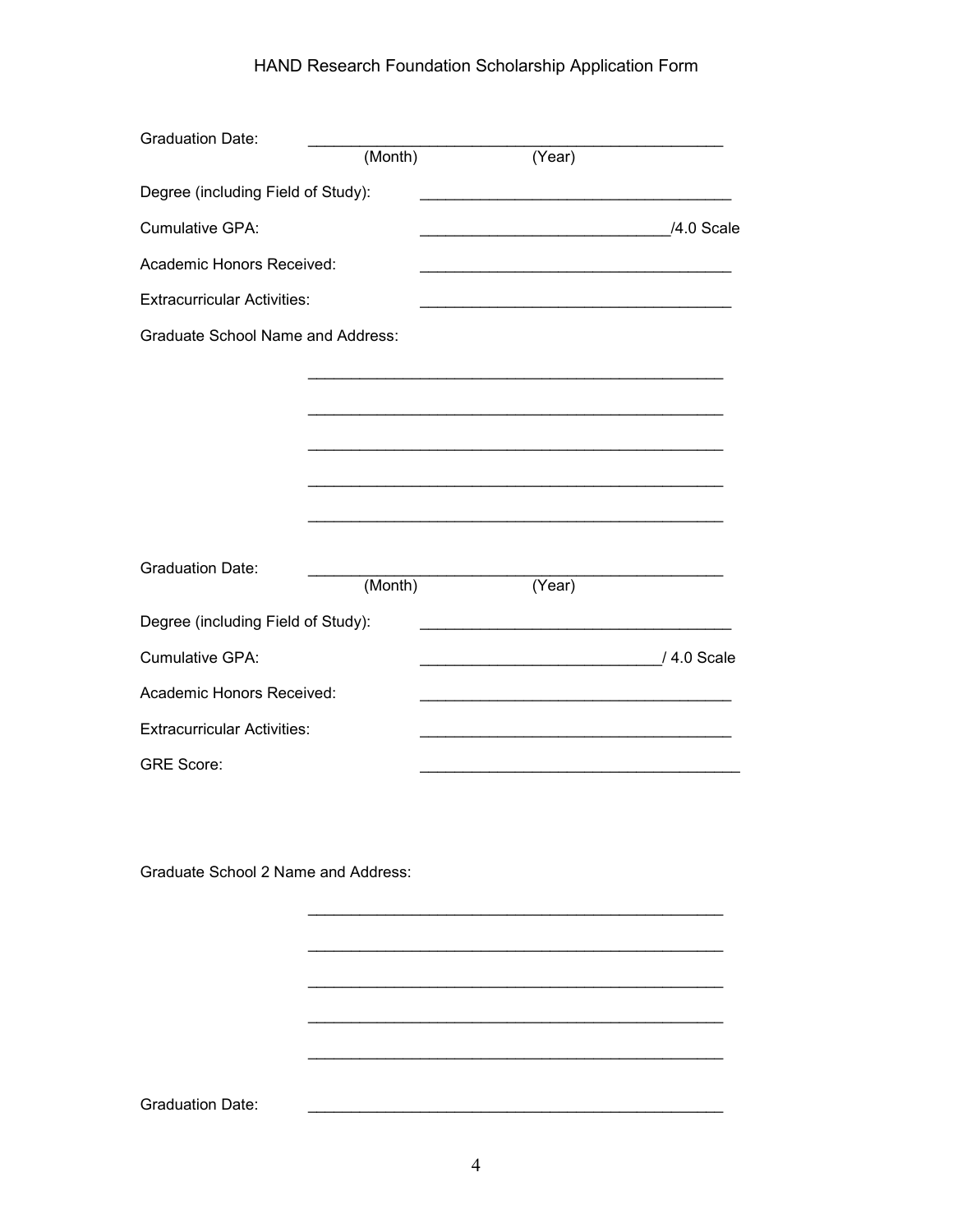| <b>Graduation Date:</b>                  |         |                                                                                                                        |             |
|------------------------------------------|---------|------------------------------------------------------------------------------------------------------------------------|-------------|
|                                          | (Month) | (Year)                                                                                                                 |             |
| Degree (including Field of Study):       |         |                                                                                                                        |             |
| Cumulative GPA:                          |         | <u>4.0</u> Scale / 2.0 Scale                                                                                           |             |
| Academic Honors Received:                |         |                                                                                                                        |             |
| <b>Extracurricular Activities:</b>       |         | <u> 1989 - Johann John Stein, markin fan it ferskearre fan it ferskearre fan it ferskearre fan it ferskearre fan i</u> |             |
| <b>Graduate School Name and Address:</b> |         |                                                                                                                        |             |
|                                          |         |                                                                                                                        |             |
|                                          |         |                                                                                                                        |             |
|                                          |         |                                                                                                                        |             |
|                                          |         |                                                                                                                        |             |
|                                          |         |                                                                                                                        |             |
|                                          |         |                                                                                                                        |             |
| <b>Graduation Date:</b>                  |         |                                                                                                                        |             |
|                                          | (Month) | (Year)                                                                                                                 |             |
| Degree (including Field of Study):       |         | <u> 1989 - Johann Barbara, martxa alemaniar a</u>                                                                      |             |
| Cumulative GPA:                          |         | <u> 1980 - Johann John Stone, market fan it ferskearre fan it ferskearre fan it ferskearre fan it ferskearre fan i</u> | / 4.0 Scale |
| Academic Honors Received:                |         |                                                                                                                        |             |
| <b>Extracurricular Activities:</b>       |         |                                                                                                                        |             |
| <b>GRE Score:</b>                        |         |                                                                                                                        |             |
|                                          |         |                                                                                                                        |             |

Graduate School 2 Name and Address:

 $\overline{\phantom{a}}$ 

**Graduation Date:** 

<u> 1989 - Johann Barbara, marka a shekara ta 1989 - An tsara tsa 1989 - An tsara tsa 1989 - An tsa 1989 - An tsa</u>

 $\sim$ 

 $\overline{\phantom{0}}$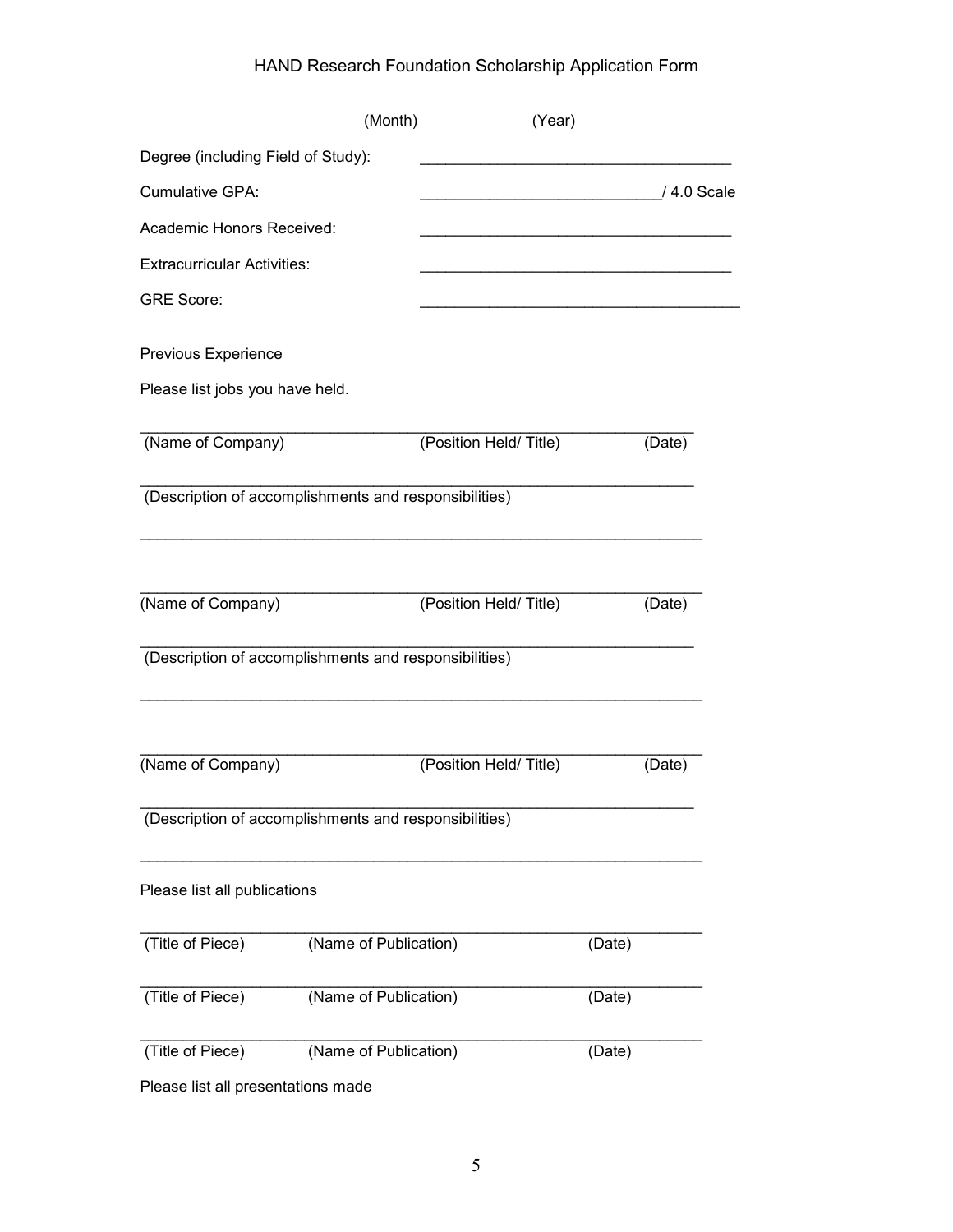|                                                       | (Month)               | (Year)                |        |             |
|-------------------------------------------------------|-----------------------|-----------------------|--------|-------------|
| Degree (including Field of Study):                    |                       |                       |        |             |
| Cumulative GPA:                                       |                       |                       |        | / 4.0 Scale |
| Academic Honors Received:                             |                       |                       |        |             |
| <b>Extracurricular Activities:</b>                    |                       |                       |        |             |
| <b>GRE Score:</b>                                     |                       |                       |        |             |
| Previous Experience                                   |                       |                       |        |             |
| Please list jobs you have held.                       |                       |                       |        |             |
| (Name of Company)                                     |                       | (Position Held/Title) |        | (Date)      |
| (Description of accomplishments and responsibilities) |                       |                       |        |             |
| (Name of Company)                                     |                       | (Position Held/Title) |        | (Date)      |
| (Description of accomplishments and responsibilities) |                       |                       |        |             |
| (Name of Company)                                     |                       | (Position Held/Title) |        | (Date)      |
|                                                       |                       |                       |        |             |
| (Description of accomplishments and responsibilities) |                       |                       |        |             |
| Please list all publications                          |                       |                       |        |             |
| (Title of Piece)                                      | (Name of Publication) |                       | (Date) |             |
| (Title of Piece)                                      | (Name of Publication) |                       | (Date) |             |
| (Title of Piece)                                      | (Name of Publication) |                       | (Date) |             |

Please list all presentations made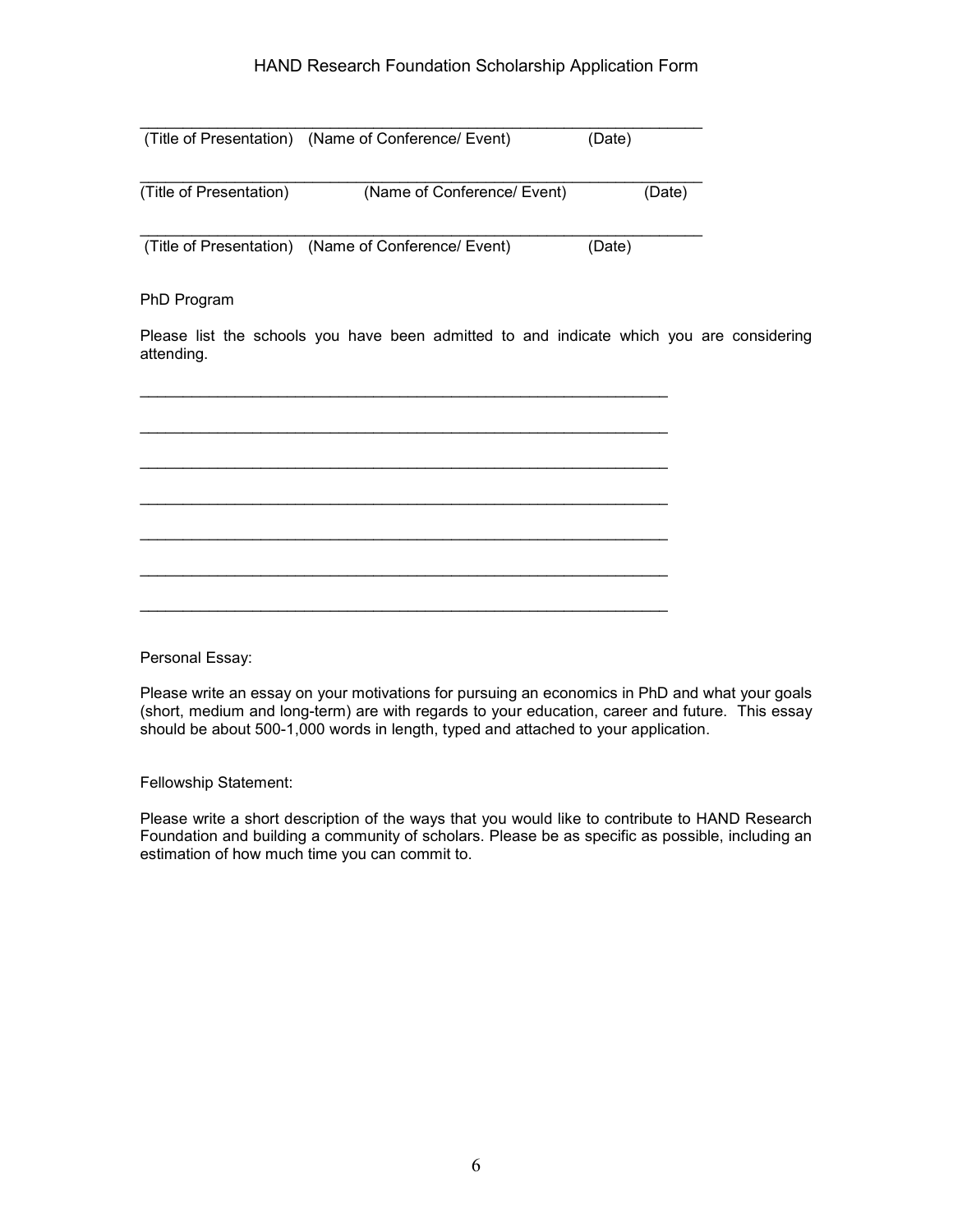|                         | (Title of Presentation) (Name of Conference/ Event)                                      | (Date) |
|-------------------------|------------------------------------------------------------------------------------------|--------|
|                         |                                                                                          |        |
| (Title of Presentation) | (Name of Conference/ Event)                                                              | (Date) |
|                         |                                                                                          |        |
|                         | (Title of Presentation) (Name of Conference/ Event)                                      | (Date) |
|                         |                                                                                          |        |
| PhD Program             |                                                                                          |        |
|                         |                                                                                          |        |
|                         | Please list the schools you have been admitted to and indicate which you are considering |        |

\_\_\_\_\_\_\_\_\_\_\_\_\_\_\_\_\_\_\_\_\_\_\_\_\_\_\_\_\_\_\_\_\_\_\_\_\_\_\_\_\_\_\_\_\_\_\_\_\_\_\_\_\_\_\_\_\_\_\_\_\_ \_\_\_\_\_\_\_\_\_\_\_\_\_\_\_\_\_\_\_\_\_\_\_\_\_\_\_\_\_\_\_\_\_\_\_\_\_\_\_\_\_\_\_\_\_\_\_\_\_\_\_\_\_\_\_\_\_\_\_\_\_ \_\_\_\_\_\_\_\_\_\_\_\_\_\_\_\_\_\_\_\_\_\_\_\_\_\_\_\_\_\_\_\_\_\_\_\_\_\_\_\_\_\_\_\_\_\_\_\_\_\_\_\_\_\_\_\_\_\_\_\_\_ \_\_\_\_\_\_\_\_\_\_\_\_\_\_\_\_\_\_\_\_\_\_\_\_\_\_\_\_\_\_\_\_\_\_\_\_\_\_\_\_\_\_\_\_\_\_\_\_\_\_\_\_\_\_\_\_\_\_\_\_\_ \_\_\_\_\_\_\_\_\_\_\_\_\_\_\_\_\_\_\_\_\_\_\_\_\_\_\_\_\_\_\_\_\_\_\_\_\_\_\_\_\_\_\_\_\_\_\_\_\_\_\_\_\_\_\_\_\_\_\_\_\_ \_\_\_\_\_\_\_\_\_\_\_\_\_\_\_\_\_\_\_\_\_\_\_\_\_\_\_\_\_\_\_\_\_\_\_\_\_\_\_\_\_\_\_\_\_\_\_\_\_\_\_\_\_\_\_\_\_\_\_\_\_ \_\_\_\_\_\_\_\_\_\_\_\_\_\_\_\_\_\_\_\_\_\_\_\_\_\_\_\_\_\_\_\_\_\_\_\_\_\_\_\_\_\_\_\_\_\_\_\_\_\_\_\_\_\_\_\_\_\_\_\_\_

Personal Essay:

attending.

Please write an essay on your motivations for pursuing an economics in PhD and what your goals (short, medium and long-term) are with regards to your education, career and future. This essay should be about 500-1,000 words in length, typed and attached to your application.

Fellowship Statement:

Please write a short description of the ways that you would like to contribute to HAND Research Foundation and building a community of scholars. Please be as specific as possible, including an estimation of how much time you can commit to.